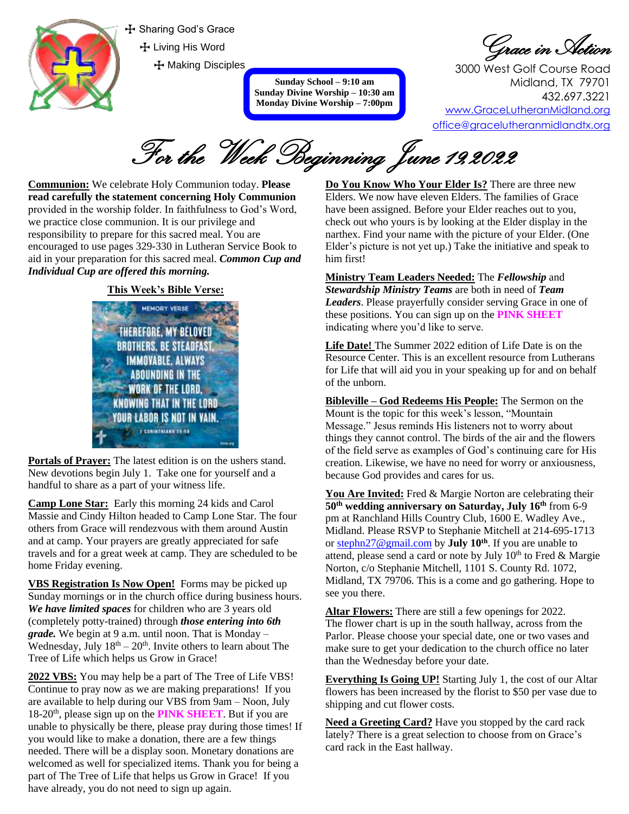

 $\div$  Sharing God's Grace T Living His Word **T** Making Disciples

> **Sunday School – 9:10 am Sunday Divine Worship – 10:30 am Monday Divine Worship – 7:00pm**

Grace in Action

3000 West Golf Course Road Midland, TX 79701 432.697.3221 [www.GraceLutheranMidland.org](http://www.gracelutheranmidland.org/) [office@gracelutheranmidlandtx.org](mailto:office@gracelutheranmidland.org)

For the Week Beginning June 19,2022

**Communion:** We celebrate Holy Communion today. **Please read carefully the statement concerning Holy Communion** provided in the worship folder. In faithfulness to God's Word, we practice close communion. It is our privilege and responsibility to prepare for this sacred meal. You are encouraged to use pages 329-330 in Lutheran Service Book to aid in your preparation for this sacred meal. *Common Cup and Individual Cup are offered this morning.*

## **This Week's Bible Verse:**



**Portals of Prayer:** The latest edition is on the ushers stand. New devotions begin July 1. Take one for yourself and a handful to share as a part of your witness life.

**Camp Lone Star:** Early this morning 24 kids and Carol Massie and Cindy Hilton headed to Camp Lone Star. The four others from Grace will rendezvous with them around Austin and at camp. Your prayers are greatly appreciated for safe travels and for a great week at camp. They are scheduled to be home Friday evening.

**VBS Registration Is Now Open!** Forms may be picked up Sunday mornings or in the church office during business hours. *We have limited spaces* for children who are 3 years old (completely potty-trained) through *those entering into 6th grade.* We begin at 9 a.m. until noon. That is Monday – Wednesday, July  $18<sup>th</sup> - 20<sup>th</sup>$ . Invite others to learn about The Tree of Life which helps us Grow in Grace!

**2022 VBS:** You may help be a part of The Tree of Life VBS! Continue to pray now as we are making preparations! If you are available to help during our VBS from 9am – Noon, July 18-20<sup>th</sup>, please sign up on the **PINK SHEET**. But if you are unable to physically be there, please pray during those times! If you would like to make a donation, there are a few things needed. There will be a display soon. Monetary donations are welcomed as well for specialized items. Thank you for being a part of The Tree of Life that helps us Grow in Grace! If you have already, you do not need to sign up again.

**Do You Know Who Your Elder Is?** There are three new Elders. We now have eleven Elders. The families of Grace have been assigned. Before your Elder reaches out to you, check out who yours is by looking at the Elder display in the narthex. Find your name with the picture of your Elder. (One Elder's picture is not yet up.) Take the initiative and speak to him first!

**Ministry Team Leaders Needed:** The *Fellowship* and *Stewardship Ministry Teams* are both in need of *Team Leaders*. Please prayerfully consider serving Grace in one of these positions. You can sign up on the **PINK SHEET**  indicating where you'd like to serve.

**Life Date!** The Summer 2022 edition of Life Date is on the Resource Center. This is an excellent resource from Lutherans for Life that will aid you in your speaking up for and on behalf of the unborn.

**Bibleville – God Redeems His People:** The Sermon on the Mount is the topic for this week's lesson, "Mountain Message." Jesus reminds His listeners not to worry about things they cannot control. The birds of the air and the flowers of the field serve as examples of God's continuing care for His creation. Likewise, we have no need for worry or anxiousness, because God provides and cares for us.

You Are Invited: Fred & Margie Norton are celebrating their **50th wedding anniversary on Saturday, July 16th** from 6-9 pm at Ranchland Hills Country Club, 1600 E. Wadley Ave., Midland. Please RSVP to Stephanie Mitchell at 214-695-1713 or [stephn27@gmail.com](mailto:stephn27@gmail.com) by **July 10th**. If you are unable to attend, please send a card or note by July  $10<sup>th</sup>$  to Fred & Margie Norton, c/o Stephanie Mitchell, 1101 S. County Rd. 1072, Midland, TX 79706. This is a come and go gathering. Hope to see you there.

**Altar Flowers:** There are still a few openings for 2022. The flower chart is up in the south hallway, across from the Parlor. Please choose your special date, one or two vases and make sure to get your dedication to the church office no later than the Wednesday before your date.

**Everything Is Going UP!** Starting July 1, the cost of our Altar flowers has been increased by the florist to \$50 per vase due to shipping and cut flower costs.

**Need a Greeting Card?** Have you stopped by the card rack lately? There is a great selection to choose from on Grace's card rack in the East hallway.